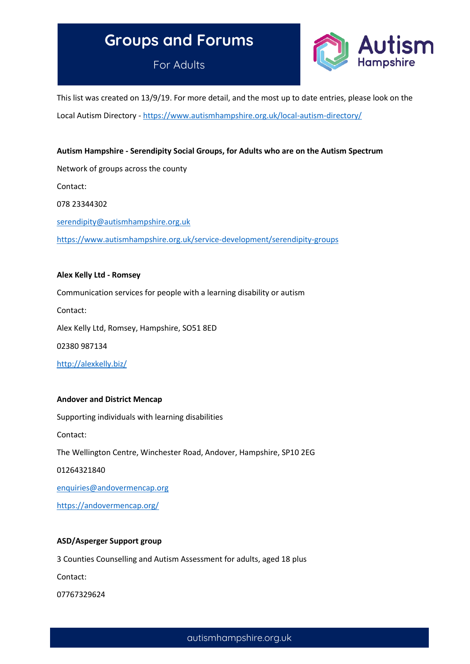# **Groups and Forums**

For Adults



This list was created on 13/9/19. For more detail, and the most up to date entries, please look on the Local Autism Directory - <https://www.autismhampshire.org.uk/local-autism-directory/>

# **Autism Hampshire - Serendipity Social Groups, for Adults who are on the Autism Spectrum**

Network of groups across the county Contact: 078 23344302 [serendipity@autismhampshire.org.uk](mailto:serendipity@autismhampshire.org.uk) <https://www.autismhampshire.org.uk/service-development/serendipity-groups>

# **Alex Kelly Ltd - Romsey**

Communication services for people with a learning disability or autism

Contact:

Alex Kelly Ltd, Romsey, Hampshire, SO51 8ED

02380 987134

<http://alexkelly.biz/>

# **Andover and District Mencap**

Supporting individuals with learning disabilities

Contact:

The Wellington Centre, Winchester Road, Andover, Hampshire, SP10 2EG

01264321840

[enquiries@andovermencap.org](mailto:enquiries@andovermencap.org)

<https://andovermencap.org/>

# **ASD/Asperger Support group**

3 Counties Counselling and Autism Assessment for adults, aged 18 plus

Contact:

07767329624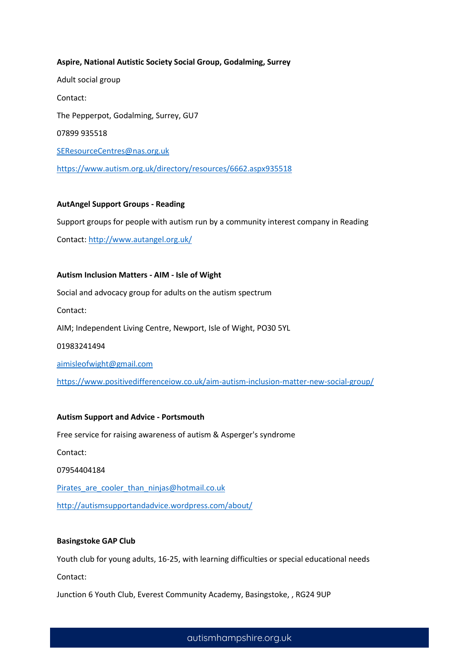# **Aspire, National Autistic Society Social Group, Godalming, Surrey**

Adult social group Contact: The Pepperpot, Godalming, Surrey, GU7 07899 935518 [SEResourceCentres@nas.org.uk](mailto:SEResourceCentres@nas.org.uk) <https://www.autism.org.uk/directory/resources/6662.aspx935518>

# **AutAngel Support Groups - Reading**

Support groups for people with autism run by a community interest company in Reading

Contact: <http://www.autangel.org.uk/>

# **Autism Inclusion Matters - AIM - Isle of Wight**

Social and advocacy group for adults on the autism spectrum

Contact:

AIM; Independent Living Centre, Newport, Isle of Wight, PO30 5YL

01983241494

[aimisleofwight@gmail.com](mailto:aimisleofwight@gmail.com)

<https://www.positivedifferenceiow.co.uk/aim-autism-inclusion-matter-new-social-group/>

# **Autism Support and Advice - Portsmouth**

Free service for raising awareness of autism & Asperger's syndrome

Contact:

07954404184

Pirates are cooler than ninjas@hotmail.co.uk

<http://autismsupportandadvice.wordpress.com/about/>

# **Basingstoke GAP Club**

Youth club for young adults, 16-25, with learning difficulties or special educational needs

Contact:

Junction 6 Youth Club, Everest Community Academy, Basingstoke, , RG24 9UP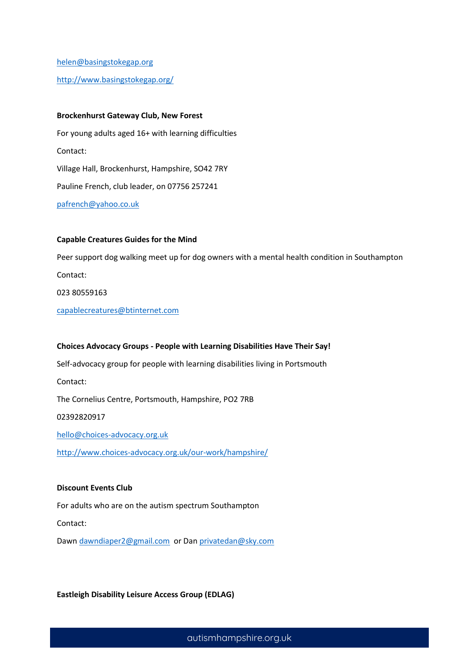[helen@basingstokegap.org](mailto:helen@basingstokegap.org)

<http://www.basingstokegap.org/>

## **Brockenhurst Gateway Club, New Forest**

For young adults aged 16+ with learning difficulties Contact: Village Hall, Brockenhurst, Hampshire, SO42 7RY Pauline French, club leader, on 07756 257241 [pafrench@yahoo.co.uk](mailto:pafrench@yahoo.co.uk)

# **Capable Creatures Guides for the Mind**

Peer support dog walking meet up for dog owners with a mental health condition in Southampton Contact: 023 80559163 [capablecreatures@btinternet.com](mailto:capablecreatures@btinternet.com)

## **Choices Advocacy Groups - People with Learning Disabilities Have Their Say!**

Self-advocacy group for people with learning disabilities living in Portsmouth

Contact:

The Cornelius Centre, Portsmouth, Hampshire, PO2 7RB

02392820917

[hello@choices-advocacy.org.uk](mailto:hello@choices-advocacy.org.uk)

<http://www.choices-advocacy.org.uk/our-work/hampshire/>

# **Discount Events Club**

For adults who are on the autism spectrum Southampton

Contact:

Dawn [dawndiaper2@gmail.com](mailto:dawndiaper2@gmail.com) or Da[n privatedan@sky.com](mailto:privatedan@sky.com)

**Eastleigh Disability Leisure Access Group (EDLAG)**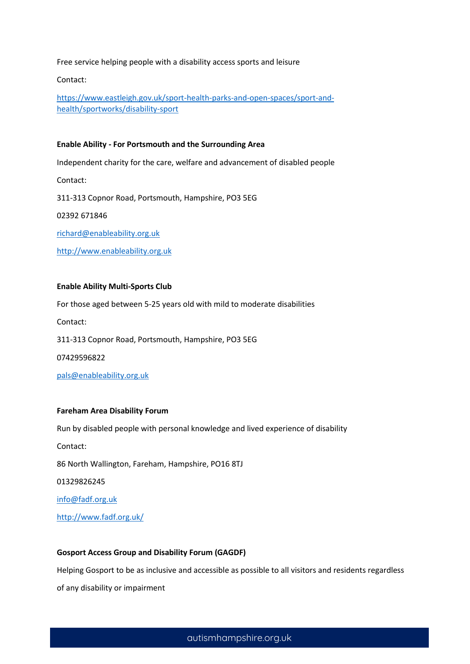Free service helping people with a disability access sports and leisure

Contact:

[https://www.eastleigh.gov.uk/sport-health-parks-and-open-spaces/sport-and](https://www.eastleigh.gov.uk/sport-health-parks-and-open-spaces/sport-and-health/sportworks/disability-sport)[health/sportworks/disability-sport](https://www.eastleigh.gov.uk/sport-health-parks-and-open-spaces/sport-and-health/sportworks/disability-sport)

## **Enable Ability - For Portsmouth and the Surrounding Area**

Independent charity for the care, welfare and advancement of disabled people

Contact:

311-313 Copnor Road, Portsmouth, Hampshire, PO3 5EG

02392 671846

[richard@enableability.org.uk](mailto:richard@enableability.org.uk)

[http://www.enableability.org.uk](http://www.enableability.org.uk/)

## **Enable Ability Multi-Sports Club**

For those aged between 5-25 years old with mild to moderate disabilities Contact: 311-313 Copnor Road, Portsmouth, Hampshire, PO3 5EG 07429596822 [pals@enableability.org.uk](mailto:pals@enableability.org.uk)

# **Fareham Area Disability Forum**

Run by disabled people with personal knowledge and lived experience of disability

Contact:

86 North Wallington, Fareham, Hampshire, PO16 8TJ

01329826245

[info@fadf.org.uk](mailto:info@fadf.org.uk)

<http://www.fadf.org.uk/>

## **Gosport Access Group and Disability Forum (GAGDF)**

Helping Gosport to be as inclusive and accessible as possible to all visitors and residents regardless of any disability or impairment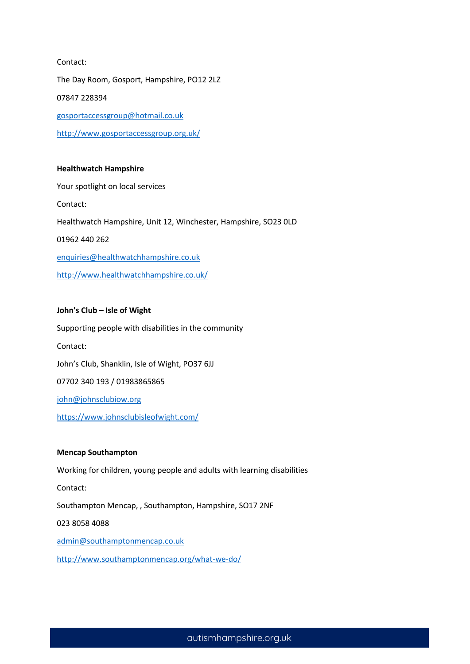# Contact:

The Day Room, Gosport, Hampshire, PO12 2LZ 07847 228394 [gosportaccessgroup@hotmail.co.uk](mailto:gosportaccessgroup@hotmail.co.uk) <http://www.gosportaccessgroup.org.uk/>

# **Healthwatch Hampshire**

Your spotlight on local services Contact: Healthwatch Hampshire, Unit 12, Winchester, Hampshire, SO23 0LD 01962 440 262 [enquiries@healthwatchhampshire.co.uk](mailto:enquiries@healthwatchhampshire.co.uk) <http://www.healthwatchhampshire.co.uk/>

# **John's Club – Isle of Wight**

Supporting people with disabilities in the community Contact: John's Club, Shanklin, Isle of Wight, PO37 6JJ 07702 340 193 / 01983865865 [john@johnsclubiow.org](mailto:john@johnsclubiow.org) <https://www.johnsclubisleofwight.com/>

# **Mencap Southampton**

Working for children, young people and adults with learning disabilities

Contact:

Southampton Mencap, , Southampton, Hampshire, SO17 2NF

023 8058 4088

[admin@southamptonmencap.co.uk](mailto:admin@southamptonmencap.co.uk)

<http://www.southamptonmencap.org/what-we-do/>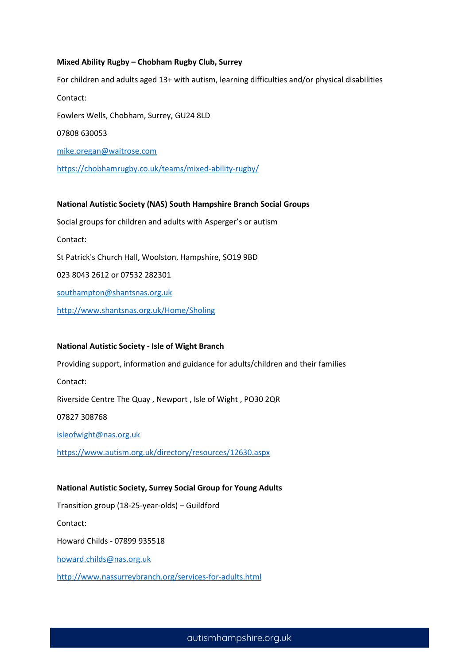## **Mixed Ability Rugby – Chobham Rugby Club, Surrey**

For children and adults aged 13+ with autism, learning difficulties and/or physical disabilities Contact: Fowlers Wells, Chobham, Surrey, GU24 8LD 07808 630053 [mike.oregan@waitrose.com](mailto:mike.oregan@waitrose.com) <https://chobhamrugby.co.uk/teams/mixed-ability-rugby/>

# **National Autistic Society (NAS) South Hampshire Branch Social Groups**

Social groups for children and adults with Asperger's or autism Contact: St Patrick's Church Hall, Woolston, Hampshire, SO19 9BD 023 8043 2612 or 07532 282301 [southampton@shantsnas.org.uk](mailto:southampton@shantsnas.org.uk)

<http://www.shantsnas.org.uk/Home/Sholing>

## **National Autistic Society - Isle of Wight Branch**

Providing support, information and guidance for adults/children and their families

Contact:

Riverside Centre The Quay , Newport , Isle of Wight , PO30 2QR

07827 308768

[isleofwight@nas.org.uk](mailto:isleofwight@nas.org.uk)

<https://www.autism.org.uk/directory/resources/12630.aspx>

# **National Autistic Society, Surrey Social Group for Young Adults**

Transition group (18-25-year-olds) – Guildford

Contact:

Howard Childs - 07899 935518

[howard.childs@nas.org.uk](mailto:howard.childs@nas.org.uk)

<http://www.nassurreybranch.org/services-for-adults.html>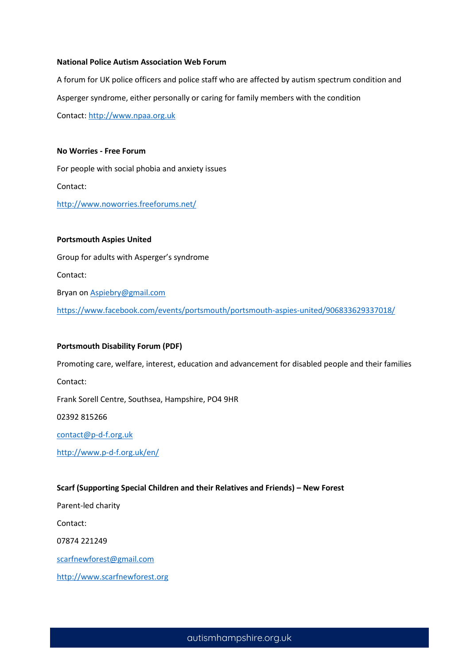## **National Police Autism Association Web Forum**

A forum for UK police officers and police staff who are affected by autism spectrum condition and Asperger syndrome, either personally or caring for family members with the condition

Contact: [http://www.npaa.org.uk](http://www.npaa.org.uk/)

**No Worries - Free Forum**

For people with social phobia and anxiety issues Contact: <http://www.noworries.freeforums.net/>

**Portsmouth Aspies United** Group for adults with Asperger's syndrome Contact: Bryan o[n Aspiebry@gmail.com](mailto:Aspiebry@gmail.com) <https://www.facebook.com/events/portsmouth/portsmouth-aspies-united/906833629337018/>

## **Portsmouth Disability Forum (PDF)**

Promoting care, welfare, interest, education and advancement for disabled people and their families Contact: Frank Sorell Centre, Southsea, Hampshire, PO4 9HR

02392 815266

[contact@p-d-f.org.uk](mailto:contact@p-d-f.org.uk)

<http://www.p-d-f.org.uk/en/>

# **Scarf (Supporting Special Children and their Relatives and Friends) – New Forest**

Parent-led charity

Contact:

07874 221249

[scarfnewforest@gmail.com](mailto:scarfnewforest@gmail.com)

[http://www.scarfnewforest.org](http://www.scarfnewforest.org/)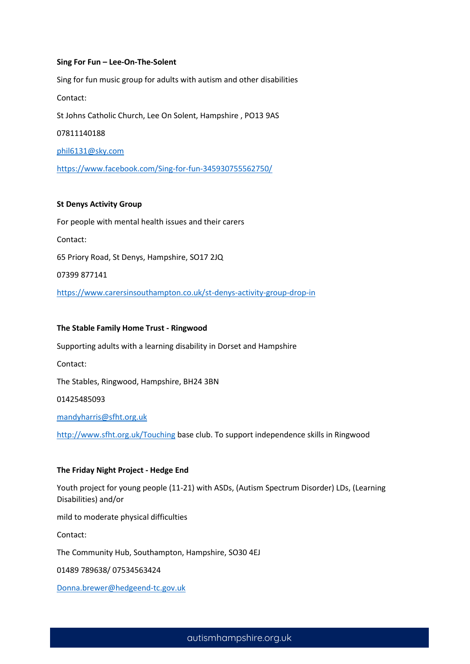## **Sing For Fun – Lee-On-The-Solent**

Sing for fun music group for adults with autism and other disabilities Contact: St Johns Catholic Church, Lee On Solent, Hampshire , PO13 9AS 07811140188 [phil6131@sky.com](mailto:phil6131@sky.com) <https://www.facebook.com/Sing-for-fun-345930755562750/>

# **St Denys Activity Group**

For people with mental health issues and their carers Contact: 65 Priory Road, St Denys, Hampshire, SO17 2JQ 07399 877141 <https://www.carersinsouthampton.co.uk/st-denys-activity-group-drop-in>

## **The Stable Family Home Trust - Ringwood**

Supporting adults with a learning disability in Dorset and Hampshire

Contact:

The Stables, Ringwood, Hampshire, BH24 3BN

01425485093

[mandyharris@sfht.org.uk](mailto:mandyharris@sfht.org.uk)

<http://www.sfht.org.uk/Touching> base club. To support independence skills in Ringwood

# **The Friday Night Project - Hedge End**

Youth project for young people (11-21) with ASDs, (Autism Spectrum Disorder) LDs, (Learning Disabilities) and/or

mild to moderate physical difficulties

Contact:

The Community Hub, Southampton, Hampshire, SO30 4EJ

01489 789638/ 07534563424

[Donna.brewer@hedgeend-tc.gov.uk](mailto:Donna.brewer@hedgeend-tc.gov.uk)